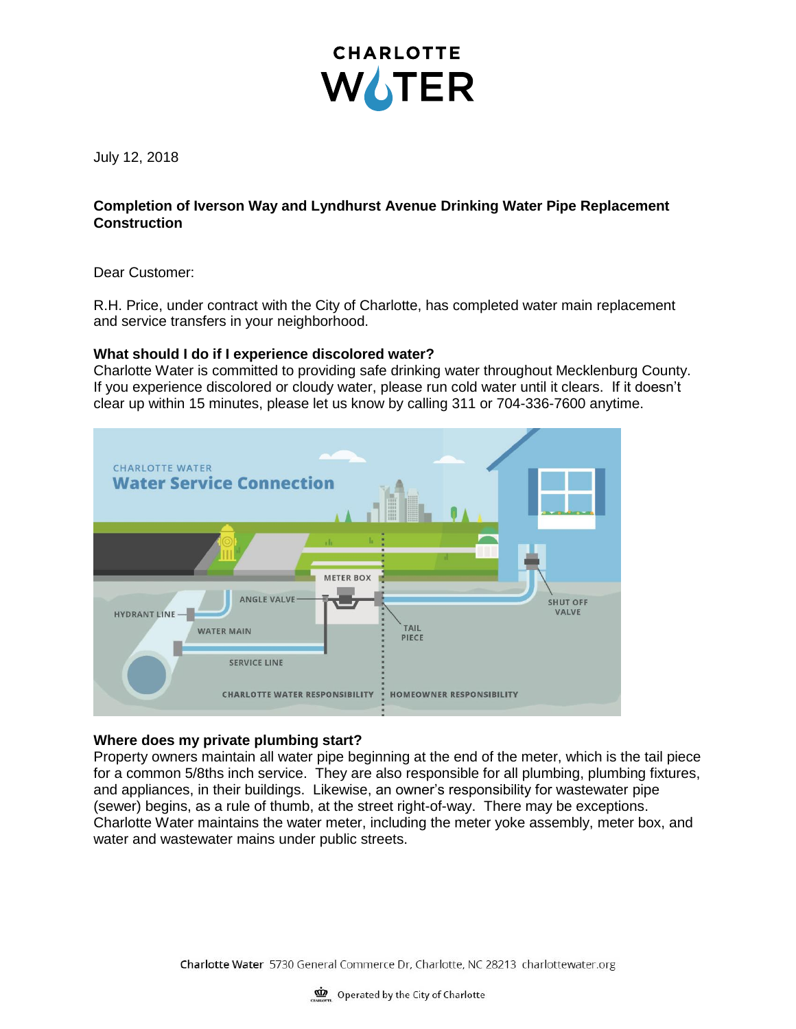

July 12, 2018

# **Completion of Iverson Way and Lyndhurst Avenue Drinking Water Pipe Replacement Construction**

Dear Customer:

R.H. Price, under contract with the City of Charlotte, has completed water main replacement and service transfers in your neighborhood.

## **What should I do if I experience discolored water?**

Charlotte Water is committed to providing safe drinking water throughout Mecklenburg County. If you experience discolored or cloudy water, please run cold water until it clears. If it doesn't clear up within 15 minutes, please let us know by calling 311 or 704-336-7600 anytime.



## **Where does my private plumbing start?**

Property owners maintain all water pipe beginning at the end of the meter, which is the tail piece for a common 5/8ths inch service. They are also responsible for all plumbing, plumbing fixtures, and appliances, in their buildings. Likewise, an owner's responsibility for wastewater pipe (sewer) begins, as a rule of thumb, at the street right-of-way. There may be exceptions. Charlotte Water maintains the water meter, including the meter yoke assembly, meter box, and water and wastewater mains under public streets.